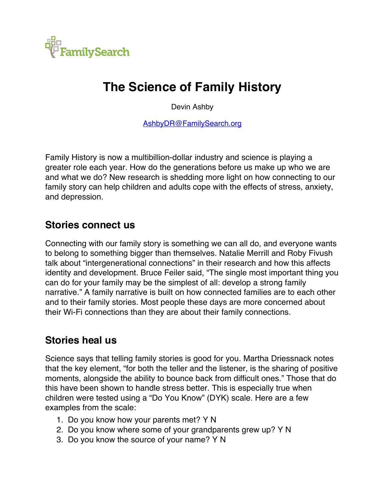

# **The Science of Family History**

Devin Ashby

AshbyDR@FamilySearch.org

Family History is now a multibillion-dollar industry and science is playing a greater role each year. How do the generations before us make up who we are and what we do? New research is shedding more light on how connecting to our family story can help children and adults cope with the effects of stress, anxiety, and depression.

### **Stories connect us**

Connecting with our family story is something we can all do, and everyone wants to belong to something bigger than themselves. Natalie Merrill and Roby Fivush talk about "intergenerational connections" in their research and how this affects identity and development. Bruce Feiler said, "The single most important thing you can do for your family may be the simplest of all: develop a strong family narrative." A family narrative is built on how connected families are to each other and to their family stories. Most people these days are more concerned about their Wi-Fi connections than they are about their family connections.

### **Stories heal us**

Science says that telling family stories is good for you. Martha Driessnack notes that the key element, "for both the teller and the listener, is the sharing of positive moments, alongside the ability to bounce back from difficult ones." Those that do this have been shown to handle stress better. This is especially true when children were tested using a "Do You Know" (DYK) scale. Here are a few examples from the scale:

- 1. Do you know how your parents met? Y N
- 2. Do you know where some of your grandparents grew up? Y N
- 3. Do you know the source of your name? Y N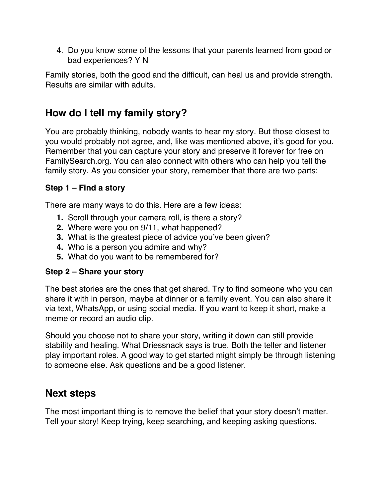4. Do you know some of the lessons that your parents learned from good or bad experiences? Y N

Family stories, both the good and the difficult, can heal us and provide strength. Results are similar with adults.

## **How do I tell my family story?**

You are probably thinking, nobody wants to hear my story. But those closest to you would probably not agree, and, like was mentioned above, it's good for you. Remember that you can capture your story and preserve it forever for free on FamilySearch.org. You can also connect with others who can help you tell the family story. As you consider your story, remember that there are two parts:

#### **Step 1 – Find a story**

There are many ways to do this. Here are a few ideas:

- **1.** Scroll through your camera roll, is there a story?
- **2.** Where were you on 9/11, what happened?
- **3.** What is the greatest piece of advice you've been given?
- **4.** Who is a person you admire and why?
- **5.** What do you want to be remembered for?

#### **Step 2 – Share your story**

The best stories are the ones that get shared. Try to find someone who you can share it with in person, maybe at dinner or a family event. You can also share it via text, WhatsApp, or using social media. If you want to keep it short, make a meme or record an audio clip.

Should you choose not to share your story, writing it down can still provide stability and healing. What Driessnack says is true. Both the teller and listener play important roles. A good way to get started might simply be through listening to someone else. Ask questions and be a good listener.

### **Next steps**

The most important thing is to remove the belief that your story doesn't matter. Tell your story! Keep trying, keep searching, and keeping asking questions.